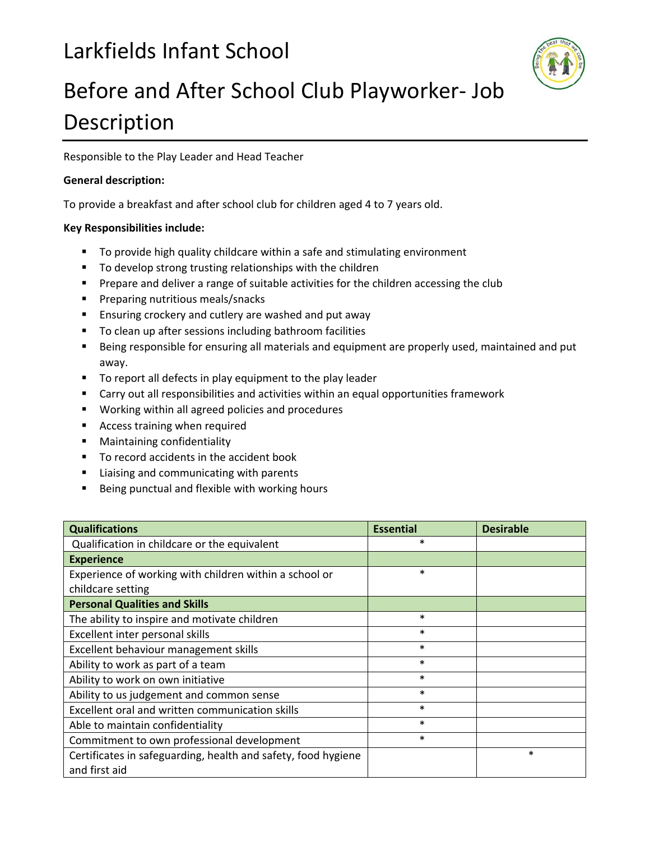## Larkfields Infant School



## Before and After School Club Playworker‐ Job Description

Responsible to the Play Leader and Head Teacher

## **General description:**

To provide a breakfast and after school club for children aged 4 to 7 years old.

## **Key Responsibilities include:**

- To provide high quality childcare within a safe and stimulating environment
- To develop strong trusting relationships with the children
- **Prepare and deliver a range of suitable activities for the children accessing the club**
- **Preparing nutritious meals/snacks**
- **Ensuring crockery and cutlery are washed and put away**
- **To clean up after sessions including bathroom facilities**
- Being responsible for ensuring all materials and equipment are properly used, maintained and put away.
- To report all defects in play equipment to the play leader
- Carry out all responsibilities and activities within an equal opportunities framework
- **Working within all agreed policies and procedures**
- **Access training when required**
- **•** Maintaining confidentiality
- To record accidents in the accident book
- **EXTE:** Liaising and communicating with parents
- **Being punctual and flexible with working hours**

| <b>Qualifications</b>                                         | <b>Essential</b> | <b>Desirable</b> |
|---------------------------------------------------------------|------------------|------------------|
| Qualification in childcare or the equivalent                  | $\ast$           |                  |
| <b>Experience</b>                                             |                  |                  |
| Experience of working with children within a school or        | *                |                  |
| childcare setting                                             |                  |                  |
| <b>Personal Qualities and Skills</b>                          |                  |                  |
| The ability to inspire and motivate children                  | *                |                  |
| Excellent inter personal skills                               | $\ast$           |                  |
| Excellent behaviour management skills                         | $\ast$           |                  |
| Ability to work as part of a team                             | *                |                  |
| Ability to work on own initiative                             | *                |                  |
| Ability to us judgement and common sense                      | $\ast$           |                  |
| Excellent oral and written communication skills               | $\ast$           |                  |
| Able to maintain confidentiality                              | $\ast$           |                  |
| Commitment to own professional development                    | *                |                  |
| Certificates in safeguarding, health and safety, food hygiene |                  | $\ast$           |
| and first aid                                                 |                  |                  |